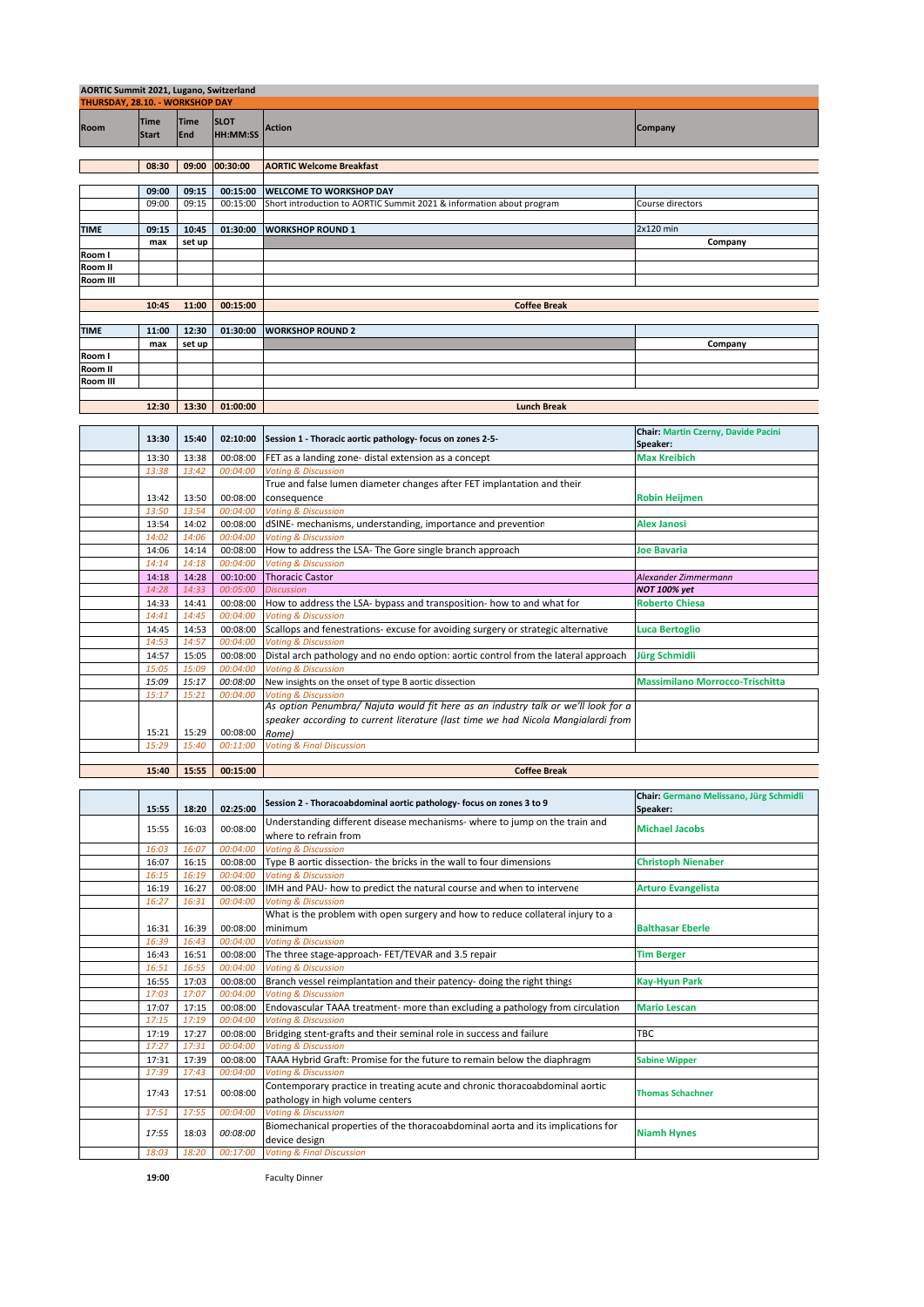| AORTIC Summit 2021, Lugano, Switzerland |                                 |                           |                                |                                                                                                                                                                                 |                                                     |  |
|-----------------------------------------|---------------------------------|---------------------------|--------------------------------|---------------------------------------------------------------------------------------------------------------------------------------------------------------------------------|-----------------------------------------------------|--|
|                                         | THURSDAY, 28.10. - WORKSHOP DAY |                           |                                |                                                                                                                                                                                 |                                                     |  |
| Room                                    | <b>Time</b><br><b>Start</b>     | <b>Time</b><br><b>End</b> | <b>SLOT</b><br><b>HH:MM:SS</b> | Action                                                                                                                                                                          | Company                                             |  |
|                                         | 08:30                           | 09:00                     | 00:30:00                       | <b>AORTIC Welcome Breakfast</b>                                                                                                                                                 |                                                     |  |
|                                         |                                 |                           |                                |                                                                                                                                                                                 |                                                     |  |
|                                         | 09:00                           | 09:15                     | 00:15:00                       | <b>WELCOME TO WORKSHOP DAY</b>                                                                                                                                                  |                                                     |  |
|                                         | 09:00                           | 09:15                     | 00:15:00                       | Short introduction to AORTIC Summit 2021 & information about program                                                                                                            | Course directors                                    |  |
|                                         |                                 |                           |                                |                                                                                                                                                                                 |                                                     |  |
| <b>TIME</b>                             | 09:15<br>max                    | 10:45<br>set up           | 01:30:00                       | <b>WORKSHOP ROUND 1</b>                                                                                                                                                         | 2x120 min<br>Company                                |  |
| Room I                                  |                                 |                           |                                |                                                                                                                                                                                 |                                                     |  |
| Room II                                 |                                 |                           |                                |                                                                                                                                                                                 |                                                     |  |
| Room III                                |                                 |                           |                                |                                                                                                                                                                                 |                                                     |  |
|                                         |                                 |                           |                                |                                                                                                                                                                                 |                                                     |  |
|                                         | 10:45                           | 11:00                     | 00:15:00                       | <b>Coffee Break</b>                                                                                                                                                             |                                                     |  |
|                                         |                                 |                           |                                |                                                                                                                                                                                 |                                                     |  |
| <b>TIME</b>                             | 11:00                           | 12:30                     | 01:30:00                       | <b>WORKSHOP ROUND 2</b>                                                                                                                                                         |                                                     |  |
| Room I                                  | max                             | set up                    |                                |                                                                                                                                                                                 | Company                                             |  |
| Room II                                 |                                 |                           |                                |                                                                                                                                                                                 |                                                     |  |
| Room III                                |                                 |                           |                                |                                                                                                                                                                                 |                                                     |  |
|                                         |                                 |                           |                                |                                                                                                                                                                                 |                                                     |  |
|                                         | 12:30                           | 13:30                     | 01:00:00                       | <b>Lunch Break</b>                                                                                                                                                              |                                                     |  |
|                                         |                                 |                           |                                |                                                                                                                                                                                 |                                                     |  |
|                                         | 13:30                           | 15:40                     | 02:10:00                       | Session 1 - Thoracic aortic pathology- focus on zones 2-5-                                                                                                                      | Chair: Martin Czerny, Davide Pacini                 |  |
|                                         | 13:30                           | 13:38                     | 00:08:00                       | FET as a landing zone- distal extension as a concept                                                                                                                            | Speaker:<br><b>Max Kreibich</b>                     |  |
|                                         | 13:38                           | 13:42                     | 00:04:00                       | <b>Voting &amp; Discussion</b>                                                                                                                                                  |                                                     |  |
|                                         |                                 |                           |                                | True and false lumen diameter changes after FET implantation and their                                                                                                          |                                                     |  |
|                                         | 13:42                           | 13:50                     | 00:08:00                       | consequence                                                                                                                                                                     | Robin Heijmen                                       |  |
|                                         | 13:50                           | 13:54                     | 00:04:00                       | <b>Voting &amp; Discussion</b>                                                                                                                                                  |                                                     |  |
|                                         | 13:54                           | 14:02                     | 00:08:00                       | dSINE- mechanisms, understanding, importance and prevention                                                                                                                     | <b>Alex Janosi</b>                                  |  |
|                                         | 14:02                           | 14:06                     | 00:04:00                       | <b>Voting &amp; Discussion</b>                                                                                                                                                  |                                                     |  |
|                                         | 14:06                           | 14:14                     | 00:08:00                       | How to address the LSA- The Gore single branch approach                                                                                                                         | Joe Bavaria                                         |  |
|                                         | 14:14                           | 14:18                     | 00:04:00                       | <b>Voting &amp; Discussion</b>                                                                                                                                                  |                                                     |  |
|                                         | 14:18                           | 14:28                     | 00:10:00                       | <b>Thoracic Castor</b>                                                                                                                                                          | Alexander Zimmermann                                |  |
|                                         | 14:28                           | 14:33                     | 00:05:00                       | <b>Discussion</b>                                                                                                                                                               | NOT 100% yet                                        |  |
|                                         | 14:33                           | 14:41<br>14:45            | 00:08:00<br>00:04:00           | How to address the LSA- bypass and transposition- how to and what for<br><b>Voting &amp; Discussion</b>                                                                         | <b>Roberto Chiesa</b>                               |  |
|                                         | 14:41<br>14:45                  | 14:53                     | 00:08:00                       | Scallops and fenestrations- excuse for avoiding surgery or strategic alternative                                                                                                |                                                     |  |
|                                         | 14:53                           | 14:57                     | 00:04:00                       | <b>Voting &amp; Discussion</b>                                                                                                                                                  | Luca Bertoglio                                      |  |
|                                         | 14:57                           | 15:05                     | 00:08:00                       | Distal arch pathology and no endo option: aortic control from the lateral approach                                                                                              | Jürg Schmidli                                       |  |
|                                         | 15:05                           | 15:09                     | 00:04:00                       | <b>Voting &amp; Discussion</b>                                                                                                                                                  |                                                     |  |
|                                         | 15:09                           | 15:17                     | 00:08:00                       | New insights on the onset of type B aortic dissection                                                                                                                           | <b>Massimilano Morrocco-Trischitta</b>              |  |
|                                         | 15:17                           | 15:21                     | 00:04:00                       | <b>Voting &amp; Discussion</b>                                                                                                                                                  |                                                     |  |
|                                         | 15:21                           | 15:29                     | 00:08:00                       | As option Penumbra/ Najuta would fit here as an industry talk or we'll look for a<br>speaker according to current literature (last time we had Nicola Mangialardi from<br>Rome) |                                                     |  |
|                                         | 15:29                           | 15:40                     | 00:11:00                       | <b>Voting &amp; Final Discussion</b>                                                                                                                                            |                                                     |  |
|                                         |                                 |                           |                                |                                                                                                                                                                                 |                                                     |  |
|                                         | 15:40                           | 15:55                     | 00:15:00                       | <b>Coffee Break</b>                                                                                                                                                             |                                                     |  |
|                                         |                                 |                           |                                |                                                                                                                                                                                 |                                                     |  |
|                                         | 15:55                           | 18:20                     | 02:25:00                       | Session 2 - Thoracoabdominal aortic pathology- focus on zones 3 to 9                                                                                                            | Chair: Germano Melissano, Jürg Schmidli<br>Speaker: |  |
|                                         |                                 |                           |                                | Understanding different disease mechanisms- where to jump on the train and                                                                                                      |                                                     |  |
|                                         | 15:55                           | 16:03                     | 00:08:00                       | where to refrain from                                                                                                                                                           | <b>Michael Jacobs</b>                               |  |
|                                         | 16:03                           | 16:07                     | 00:04:00                       | <b>Voting &amp; Discussion</b>                                                                                                                                                  |                                                     |  |
|                                         | 16:07                           | 16:15                     | 00:08:00                       | Type B aortic dissection- the bricks in the wall to four dimensions                                                                                                             | <b>Christoph Nienaber</b>                           |  |
|                                         | 16:15                           | 16:19                     | 00:04:00                       | <b>Voting &amp; Discussion</b><br>IMH and PAU- how to predict the natural course and when to intervene                                                                          |                                                     |  |
|                                         | 16:19<br>16:27                  | 16:27<br>16:31            | 00:08:00<br>00:04:00           | <b>Voting &amp; Discussion</b>                                                                                                                                                  | <b>Arturo Evangelista</b>                           |  |
|                                         |                                 |                           |                                | What is the problem with open surgery and how to reduce collateral injury to a                                                                                                  |                                                     |  |
|                                         | 16:31                           | 16:39                     | 00:08:00                       | minimum                                                                                                                                                                         | <b>Balthasar Eberle</b>                             |  |
|                                         | 16:39                           | 16:43                     | 00:04:00                       | <b>Voting &amp; Discussion</b>                                                                                                                                                  |                                                     |  |
|                                         | 16:43                           | 16:51                     | 00:08:00                       | The three stage-approach- FET/TEVAR and 3.5 repair                                                                                                                              | <b>Tim Berger</b>                                   |  |
|                                         | 16:51                           | 16:55                     | 00:04:00                       | <b>Voting &amp; Discussion</b>                                                                                                                                                  |                                                     |  |
|                                         | 16:55                           | 17:03                     | 00:08:00                       | Branch vessel reimplantation and their patency- doing the right things                                                                                                          | <b>Kay-Hyun Park</b>                                |  |
|                                         | 17:03                           | 17:07                     | 00:04:00                       | <b>Voting &amp; Discussion</b>                                                                                                                                                  |                                                     |  |
|                                         | 17:07                           | 17:15                     | 00:08:00                       | Endovascular TAAA treatment- more than excluding a pathology from circulation                                                                                                   | <b>Mario Lescan</b>                                 |  |
|                                         | 17:15                           | 17:19                     | 00:04:00                       | <b>Voting &amp; Discussion</b>                                                                                                                                                  | TBC                                                 |  |
|                                         | 17:19<br>17:27                  | 17:27<br>17:31            | 00:08:00<br>00:04:00           | Bridging stent-grafts and their seminal role in success and failure<br><b>Voting &amp; Discussion</b>                                                                           |                                                     |  |
|                                         | 17:31                           | 17:39                     | 00:08:00                       | TAAA Hybrid Graft: Promise for the future to remain below the diaphragm                                                                                                         | <b>Sabine Wipper</b>                                |  |
|                                         | 17:39                           | 17:43                     | 00:04:00                       | <b>Voting &amp; Discussion</b>                                                                                                                                                  |                                                     |  |
|                                         | 17:43                           | 17:51                     | 00:08:00                       | Contemporary practice in treating acute and chronic thoracoabdominal aortic<br>pathology in high volume centers                                                                 | <b>Thomas Schachner</b>                             |  |
|                                         | 17:51                           | 17:55                     | 00:04:00                       | <b>Voting &amp; Discussion</b><br>Biomechanical properties of the thoracoabdominal aorta and its implications for                                                               |                                                     |  |
|                                         | 17:55                           | 18:03                     | 00:08:00                       | device design                                                                                                                                                                   | <b>Niamh Hynes</b>                                  |  |
|                                         | 18:03                           | 18:20                     | 00:17:00                       | <b>Voting &amp; Final Discussion</b>                                                                                                                                            |                                                     |  |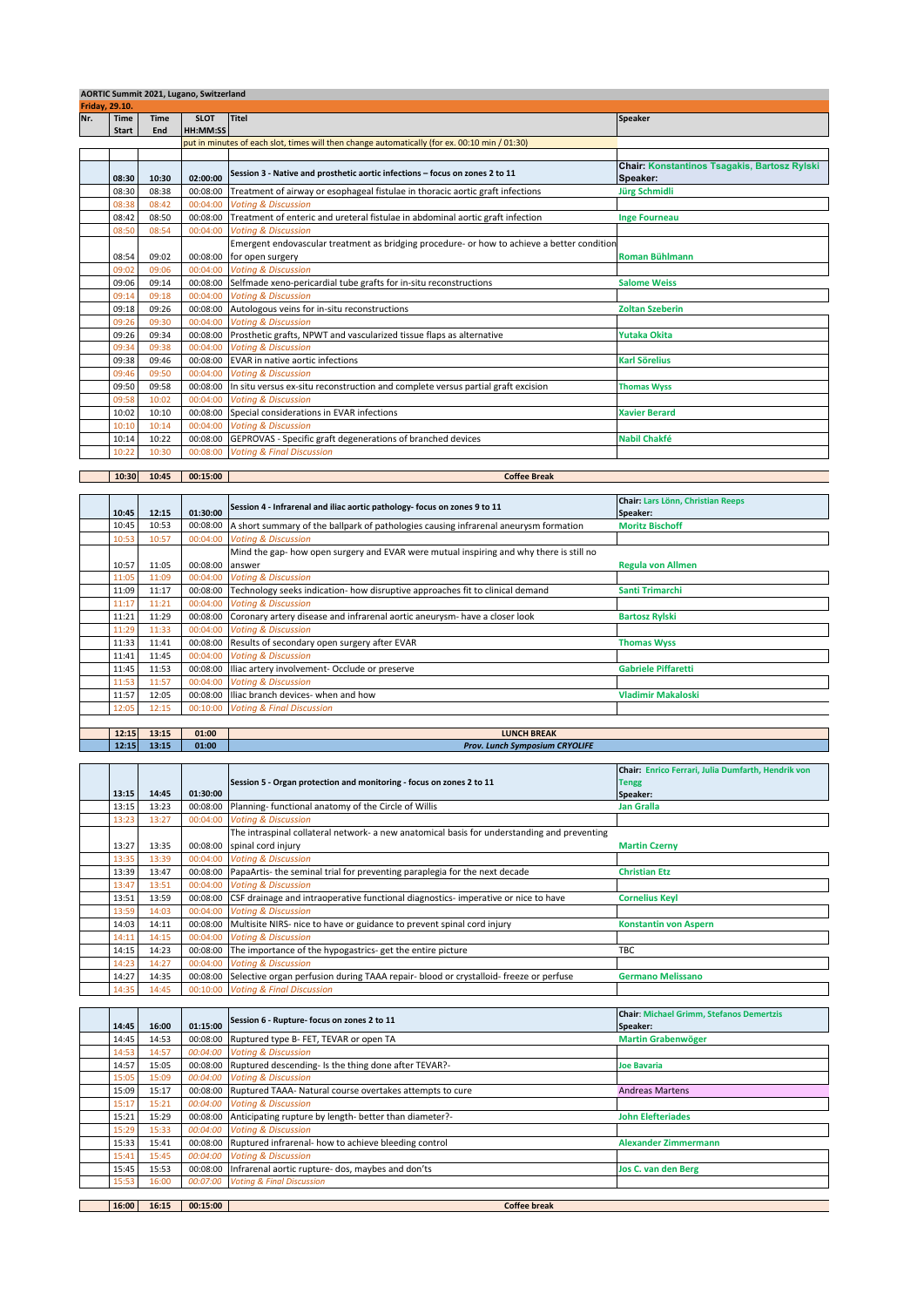|     | AORTIC Summit 2021, Lugano, Switzerland |             |                 |                                                                                               |                                                                 |  |  |
|-----|-----------------------------------------|-------------|-----------------|-----------------------------------------------------------------------------------------------|-----------------------------------------------------------------|--|--|
|     | <b>Friday, 29.10.</b>                   |             |                 |                                                                                               |                                                                 |  |  |
| Nr. | <b>Time</b>                             | <b>Time</b> | <b>SLOT</b>     | Titel                                                                                         | <b>Speaker</b>                                                  |  |  |
|     | <b>Start</b>                            | End         | <b>HH:MM:SS</b> |                                                                                               |                                                                 |  |  |
|     |                                         |             |                 | put in minutes of each slot, times will then change automatically (for ex. 00:10 min / 01:30) |                                                                 |  |  |
|     |                                         |             |                 |                                                                                               |                                                                 |  |  |
|     | 08:30                                   | 10:30       | 02:00:00        | Session 3 - Native and prosthetic aortic infections - focus on zones 2 to 11                  | <b>Chair: Konstantinos Tsagakis, Bartosz Rylski</b><br>Speaker: |  |  |
|     | 08:30                                   | 08:38       | 00:08:00        | Treatment of airway or esophageal fistulae in thoracic aortic graft infections                | Jürg Schmidli                                                   |  |  |
|     | 08:38                                   | 08:42       | 00:04:00        | <b>Voting &amp; Discussion</b>                                                                |                                                                 |  |  |
|     | 08:42                                   | 08:50       | 00:08:00        | Treatment of enteric and ureteral fistulae in abdominal aortic graft infection                | <b>Inge Fourneau</b>                                            |  |  |
|     | 08:50                                   | 08:54       | 00:04:00        | <b>Voting &amp; Discussion</b>                                                                |                                                                 |  |  |
|     |                                         |             |                 | Emergent endovascular treatment as bridging procedure- or how to achieve a better condition   |                                                                 |  |  |
|     | 08:54                                   | 09:02       | 00:08:00        | for open surgery                                                                              | <b>Roman Bühlmann</b>                                           |  |  |
|     | 09:02                                   | 09:06       | 00:04:00        | <b>Voting &amp; Discussion</b>                                                                |                                                                 |  |  |
|     | 09:06                                   | 09:14       | 00:08:00        | Selfmade xeno-pericardial tube grafts for in-situ reconstructions                             | <b>Salome Weiss</b>                                             |  |  |
|     | 09:14                                   | 09:18       | 00:04:00        | <b>Voting &amp; Discussion</b>                                                                |                                                                 |  |  |
|     | 09:18                                   | 09:26       | 00:08:00        | Autologous veins for in-situ reconstructions                                                  | <b>Zoltan Szeberin</b>                                          |  |  |
|     | 09:26                                   | 09:30       | 00:04:00        | <b>Voting &amp; Discussion</b>                                                                |                                                                 |  |  |
|     | 09:26                                   | 09:34       | 00:08:00        | Prosthetic grafts, NPWT and vascularized tissue flaps as alternative                          | Yutaka Okita                                                    |  |  |
|     | 09:34                                   | 09:38       | 00:04:00        | <b>Voting &amp; Discussion</b>                                                                |                                                                 |  |  |
|     | 09:38                                   | 09:46       | 00:08:00        | EVAR in native aortic infections                                                              | <b>Karl Sörelius</b>                                            |  |  |
|     | 09:46                                   | 09:50       | 00:04:00        | <b>Voting &amp; Discussion</b>                                                                |                                                                 |  |  |
|     | 09:50                                   | 09:58       | 00:08:00        | In situ versus ex-situ reconstruction and complete versus partial graft excision              | <b>Thomas Wyss</b>                                              |  |  |
|     | 09:58                                   | 10:02       | 00:04:00        | <b>Votina &amp; Discussion</b>                                                                |                                                                 |  |  |
|     | 10:02                                   | 10:10       | 00:08:00        | Special considerations in EVAR infections                                                     | <b>Xavier Berard</b>                                            |  |  |
|     | 10:10                                   | 10:14       | 00:04:00        | <b>Voting &amp; Discussion</b>                                                                |                                                                 |  |  |
|     | 10:14                                   | 10:22       | 00:08:00        | GEPROVAS - Specific graft degenerations of branched devices                                   | <b>Nabil Chakfé</b>                                             |  |  |
|     | 10:22                                   | 10:30       | 00:08:00        | <b>Voting &amp; Final Discussion</b>                                                          |                                                                 |  |  |

|                |          |          | Session 4 - Infrarenal and iliac aortic pathology- focus on zones 9 to 11               | <b>Chair: Lars Lönn, Christian Reeps</b> |
|----------------|----------|----------|-----------------------------------------------------------------------------------------|------------------------------------------|
| 10:45<br>12:15 | 01:30:00 |          | Speaker:                                                                                |                                          |
| 10:45          | 10:53    | 00:08:00 | A short summary of the ballpark of pathologies causing infrarenal aneurysm formation    | <b>Moritz Bischoff</b>                   |
| 10:53          | 10:57    | 00:04:00 | <b>Voting &amp; Discussion</b>                                                          |                                          |
|                |          |          | Mind the gap- how open surgery and EVAR were mutual inspiring and why there is still no |                                          |
| 10:57          | 11:05    | 00:08:00 | answer                                                                                  | <b>Regula von Allmen</b>                 |
| 11:05          | 11:09    | 00:04:00 | <b>Voting &amp; Discussion</b>                                                          |                                          |
| 11:09          | 11:17    | 00:08:00 | Technology seeks indication- how disruptive approaches fit to clinical demand           | Santi Trimarchi                          |
| 11:17          | 11:21    | 00:04:00 | <b>Voting &amp; Discussion</b>                                                          |                                          |
| 11:21          | 11:29    | 00:08:00 | Coronary artery disease and infrarenal aortic aneurysm- have a closer look              | <b>Bartosz Rylski</b>                    |
| 11:29          | 11:33    | 00:04:00 | <b>Voting &amp; Discussion</b>                                                          |                                          |
| 11:33          | 11:41    | 00:08:00 | Results of secondary open surgery after EVAR                                            | <b>Thomas Wyss</b>                       |
| 11:41          | 11:45    | 00:04:00 | <b>Voting &amp; Discussion</b>                                                          |                                          |
| 11:45          | 11:53    | 00:08:00 | Iliac artery involvement- Occlude or preserve                                           | <b>Gabriele Piffaretti</b>               |
| 11:53          | 11:57    | 00:04:00 | <b>Voting &amp; Discussion</b>                                                          |                                          |
| 11:57          | 12:05    | 00:08:00 | Iliac branch devices- when and how                                                      | <b>Vladimir Makaloski</b>                |
| 12:05          | 12:15    | 00:10:00 | <b>Voting &amp; Final Discussion</b>                                                    |                                          |
|                |          |          |                                                                                         |                                          |

**Coffee Break**

**12:15 13:15 01:00 LUNCH BREAK**

**10:30 10:45 00:15:00**

| 12:15          | 13:15 | 01:00    | Prov. Lunch Symposium CRYOLIFE                                                              |                                                                                |  |
|----------------|-------|----------|---------------------------------------------------------------------------------------------|--------------------------------------------------------------------------------|--|
| 13:15          | 14:45 | 01:30:00 | Session 5 - Organ protection and monitoring - focus on zones 2 to 11                        | Chair: Enrico Ferrari, Julia Dumfarth, Hendrik von<br><b>Tengg</b><br>Speaker: |  |
| 13:15          | 13:23 | 00:08:00 | Planning- functional anatomy of the Circle of Willis                                        | <b>Jan Gralla</b>                                                              |  |
| 13:23          | 13:27 | 00:04:00 | <b>Voting &amp; Discussion</b>                                                              |                                                                                |  |
|                |       |          | The intraspinal collateral network- a new anatomical basis for understanding and preventing |                                                                                |  |
| 13:27          | 13:35 | 00:08:00 | spinal cord injury                                                                          | <b>Martin Czerny</b>                                                           |  |
| 13:35          | 13:39 | 00:04:00 | <b>Voting &amp; Discussion</b>                                                              |                                                                                |  |
| 13:39          | 13:47 | 00:08:00 | PapaArtis- the seminal trial for preventing paraplegia for the next decade                  | <b>Christian Etz</b>                                                           |  |
| 13:47          | 13:51 | 00:04:00 | <b>Voting &amp; Discussion</b>                                                              |                                                                                |  |
| 13:51          | 13:59 | 00:08:00 | CSF drainage and intraoperative functional diagnostics- imperative or nice to have          | <b>Cornelius Keyl</b>                                                          |  |
| 13:59          | 14:03 | 00:04:00 | <b>Voting &amp; Discussion</b>                                                              |                                                                                |  |
| 14:03          | 14:11 | 00:08:00 | Multisite NIRS- nice to have or guidance to prevent spinal cord injury                      | <b>Konstantin von Aspern</b>                                                   |  |
| 14:11          | 14:15 | 00:04:00 | <b>Votina &amp; Discussion</b>                                                              |                                                                                |  |
| 14:15          | 14:23 | 00:08:00 | The importance of the hypogastrics- get the entire picture                                  | <b>TBC</b>                                                                     |  |
| 14:23          | 14:27 | 00:04:00 | <b>Voting &amp; Discussion</b>                                                              |                                                                                |  |
| 14:27          | 14:35 | 00:08:00 | Selective organ perfusion during TAAA repair- blood or crystalloid- freeze or perfuse       | <b>Germano Melissano</b>                                                       |  |
| 14:35          | 14:45 | 00:10:00 | <b>Voting &amp; Final Discussion</b>                                                        |                                                                                |  |
|                |       |          |                                                                                             |                                                                                |  |
|                | 16:00 | 01:15:00 | Session 6 - Rupture- focus on zones 2 to 11                                                 | <b>Chair: Michael Grimm, Stefanos Demertzis</b><br>Speaker:                    |  |
| 14:45<br>14:45 | 14:53 | 00:08:00 | Ruptured type B- FET, TEVAR or open TA                                                      | <b>Martin Grabenwöger</b>                                                      |  |
| 14:53          | 14:57 | 00:04:00 | <b>Voting &amp; Discussion</b>                                                              |                                                                                |  |
| 14:57          | 15:05 | 00:08:00 | Ruptured descending- Is the thing done after TEVAR?-                                        | <b>Joe Bavaria</b>                                                             |  |
| 15:05          | 15:09 | 00:04:00 | <b>Voting &amp; Discussion</b>                                                              |                                                                                |  |
| 15:09          | 15:17 | 00:08:00 | Ruptured TAAA- Natural course overtakes attempts to cure                                    | <b>Andreas Martens</b>                                                         |  |
| 15:17          | 15:21 | 00:04:00 | <b>Voting &amp; Discussion</b>                                                              |                                                                                |  |
| 15:21          | 15:29 | 00:08:00 | Anticipating rupture by length- better than diameter?-                                      | <b>John Elefteriades</b>                                                       |  |
| 15:29          | 15:33 | 00:04:00 | <b>Voting &amp; Discussion</b>                                                              |                                                                                |  |
| 15:33          | 15:41 | 00:08:00 | Ruptured infrarenal- how to achieve bleeding control                                        | <b>Alexander Zimmermann</b>                                                    |  |
| 15:41          | 15:45 | 00:04:00 | <b>Votina &amp; Discussion</b>                                                              |                                                                                |  |
| 15:45          | 15:53 | 00:08:00 | Infrarenal aortic rupture- dos, maybes and don'ts                                           | <b>Jos C. van den Berg</b>                                                     |  |
| 15:53          | 16:00 | 00:07:00 | <b>Voting &amp; Final Discussion</b>                                                        |                                                                                |  |
|                |       |          |                                                                                             |                                                                                |  |
| 16:00          | 16:15 | 00:15:00 | <b>Coffee break</b>                                                                         |                                                                                |  |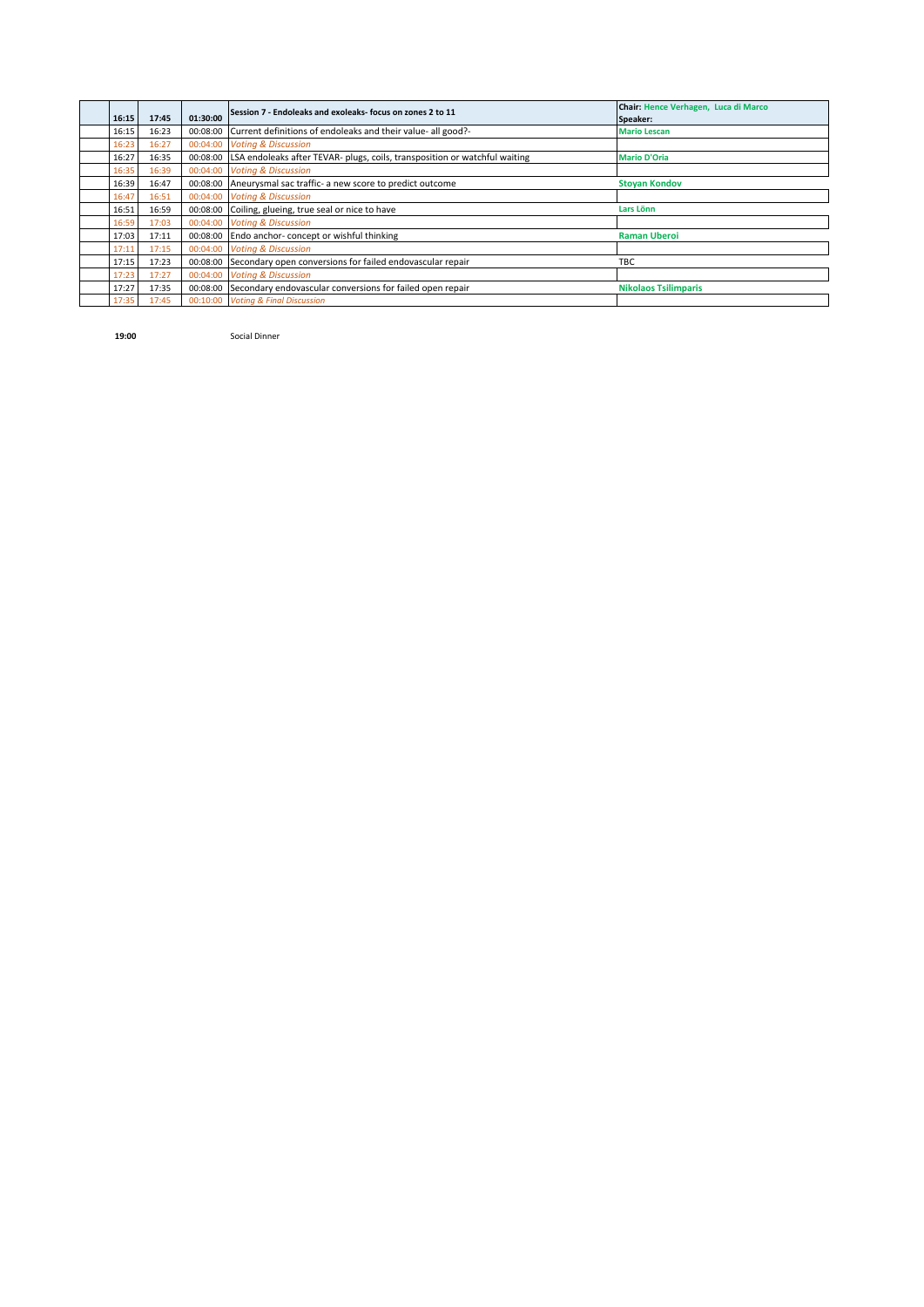| 16:15 | 17:45 | 01:30:00 | Session 7 - Endoleaks and exoleaks- focus on zones 2 to 11                 | Chair: Hence Verhagen, Luca di Marco<br>Speaker: |
|-------|-------|----------|----------------------------------------------------------------------------|--------------------------------------------------|
| 16:15 | 16:23 | 00:08:00 | Current definitions of endoleaks and their value- all good?-               | <b>Mario Lescan</b>                              |
| 16:23 | 16:27 | 00:04:00 | <b>Voting &amp; Discussion</b>                                             |                                                  |
| 16:27 | 16:35 | 00:08:00 | LSA endoleaks after TEVAR- plugs, coils, transposition or watchful waiting | <b>Mario D'Oria</b>                              |
| 16:35 | 16:39 | 00:04:00 | <b>Voting &amp; Discussion</b>                                             |                                                  |
| 16:39 | 16:47 | 00:08:00 | Aneurysmal sac traffic- a new score to predict outcome                     | <b>Stoyan Kondov</b>                             |
| 16:47 | 16:51 | 00:04:00 | <b>Voting &amp; Discussion</b>                                             |                                                  |
| 16:51 | 16:59 | 00:08:00 | Coiling, glueing, true seal or nice to have                                | Lars Lönn                                        |
| 16:59 | 17:03 | 00:04:00 | <b>Voting &amp; Discussion</b>                                             |                                                  |
| 17:03 | 17:11 | 00:08:00 | Endo anchor-concept or wishful thinking                                    | <b>Raman Uberoi</b>                              |
| 17:11 | 17:15 | 00:04:00 | <b>Voting &amp; Discussion</b>                                             |                                                  |
| 17:15 | 17:23 | 00:08:00 | Secondary open conversions for failed endovascular repair                  | <b>TBC</b>                                       |
| 17:23 | 17:27 | 00:04:00 | <b>Votina &amp; Discussion</b>                                             |                                                  |
| 17:27 | 17:35 | 00:08:00 | Secondary endovascular conversions for failed open repair                  | <b>Nikolaos Tsilimparis</b>                      |
| 17:35 | 17:45 | 00:10:00 | <b>Voting &amp; Final Discussion</b>                                       |                                                  |

**19:00** Social Dinner